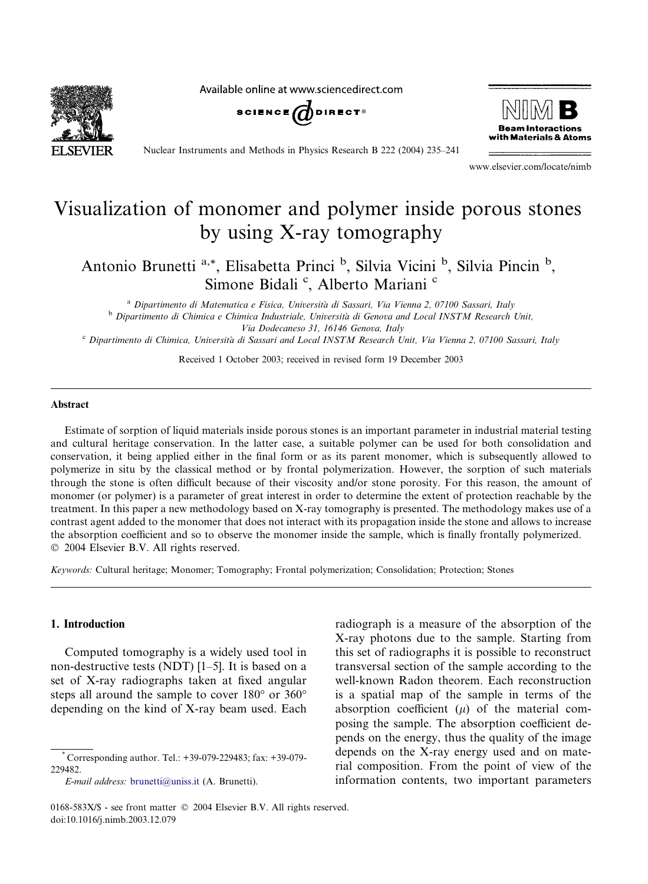Available online at www.sciencedirect.com





Nuclear Instruments and Methods in Physics Research B 222 (2004) 235–241

www.elsevier.com/locate/nimb

# Visualization of monomer and polymer inside porous stones by using X-ray tomography

Antonio Brunetti a,\*, Elisabetta Princi <sup>b</sup>, Silvia Vicini <sup>b</sup>, Silvia Pincin <sup>b</sup>, Simone Bidali<sup>c</sup>, Alberto Mariani<sup>c</sup>

<sup>a</sup> Dipartimento di Matematica e Fisica, Università di Sassari, Via Vienna 2, 07100 Sassari, Italy <sup>b</sup> Dipartimento di Chimica e Chimica Industriale, Universita di Genova and Local INSTM Research Unit, Via Dodecaneso 31, 16146 Genova, Italy

<sup>c</sup> Dipartimento di Chimica, Universita di Sassari and Local INSTM Research Unit, Via Vienna 2, 07100 Sassari, Italy

Received 1 October 2003; received in revised form 19 December 2003

#### Abstract

Estimate of sorption of liquid materials inside porous stones is an important parameter in industrial material testing and cultural heritage conservation. In the latter case, a suitable polymer can be used for both consolidation and conservation, it being applied either in the final form or as its parent monomer, which is subsequently allowed to polymerize in situ by the classical method or by frontal polymerization. However, the sorption of such materials through the stone is often difficult because of their viscosity and/or stone porosity. For this reason, the amount of monomer (or polymer) is a parameter of great interest in order to determine the extent of protection reachable by the treatment. In this paper a new methodology based on X-ray tomography is presented. The methodology makes use of a contrast agent added to the monomer that does not interact with its propagation inside the stone and allows to increase the absorption coefficient and so to observe the monomer inside the sample, which is finally frontally polymerized. 2004 Elsevier B.V. All rights reserved.

Keywords: Cultural heritage; Monomer; Tomography; Frontal polymerization; Consolidation; Protection; Stones

### 1. Introduction

Computed tomography is a widely used tool in non-destructive tests (NDT) [1–5]. It is based on a set of X-ray radiographs taken at fixed angular steps all around the sample to cover  $180^{\circ}$  or  $360^{\circ}$ depending on the kind of X-ray beam used. Each

E-mail address: [brunetti@uniss.it](mail to: brunetti@uniss.it) (A. Brunetti).

radiograph is a measure of the absorption of the X-ray photons due to the sample. Starting from this set of radiographs it is possible to reconstruct transversal section of the sample according to the well-known Radon theorem. Each reconstruction is a spatial map of the sample in terms of the absorption coefficient  $(\mu)$  of the material composing the sample. The absorption coefficient depends on the energy, thus the quality of the image depends on the X-ray energy used and on material composition. From the point of view of the information contents, two important parameters

<sup>\*</sup> Corresponding author. Tel.: +39-079-229483; fax: +39-079- 229482

<sup>0168-583</sup>X/\$ - see front matter  $\odot$  2004 Elsevier B.V. All rights reserved. doi:10.1016/j.nimb.2003.12.079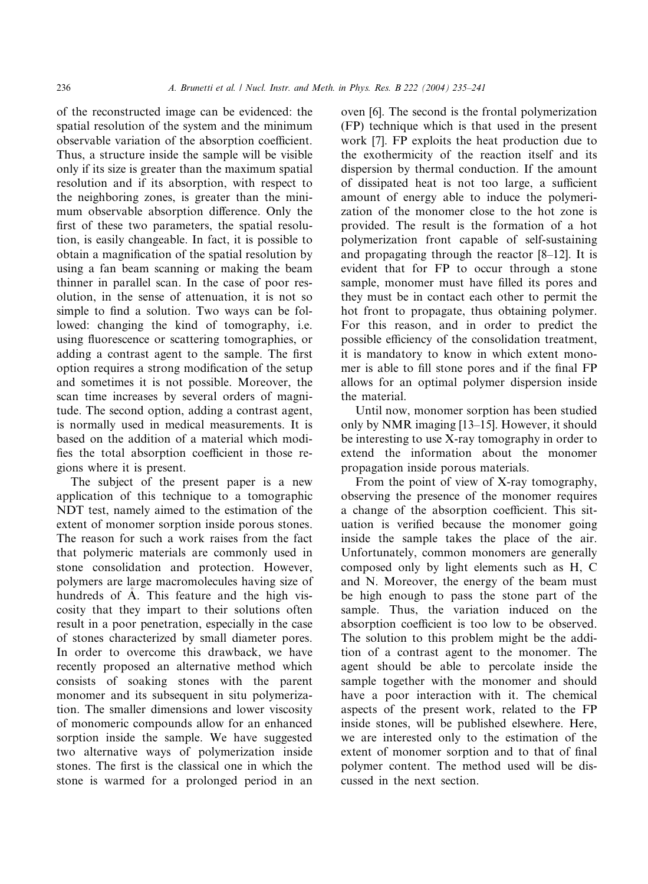of the reconstructed image can be evidenced: the spatial resolution of the system and the minimum observable variation of the absorption coefficient. Thus, a structure inside the sample will be visible only if its size is greater than the maximum spatial resolution and if its absorption, with respect to the neighboring zones, is greater than the minimum observable absorption difference. Only the first of these two parameters, the spatial resolution, is easily changeable. In fact, it is possible to obtain a magnification of the spatial resolution by using a fan beam scanning or making the beam thinner in parallel scan. In the case of poor resolution, in the sense of attenuation, it is not so simple to find a solution. Two ways can be followed: changing the kind of tomography, i.e. using fluorescence or scattering tomographies, or adding a contrast agent to the sample. The first option requires a strong modification of the setup and sometimes it is not possible. Moreover, the scan time increases by several orders of magnitude. The second option, adding a contrast agent, is normally used in medical measurements. It is based on the addition of a material which modifies the total absorption coefficient in those regions where it is present.

The subject of the present paper is a new application of this technique to a tomographic NDT test, namely aimed to the estimation of the extent of monomer sorption inside porous stones. The reason for such a work raises from the fact that polymeric materials are commonly used in stone consolidation and protection. However, polymers are large macromolecules having size of hundreds of Å. This feature and the high viscosity that they impart to their solutions often result in a poor penetration, especially in the case of stones characterized by small diameter pores. In order to overcome this drawback, we have recently proposed an alternative method which consists of soaking stones with the parent monomer and its subsequent in situ polymerization. The smaller dimensions and lower viscosity of monomeric compounds allow for an enhanced sorption inside the sample. We have suggested two alternative ways of polymerization inside stones. The first is the classical one in which the stone is warmed for a prolonged period in an oven [6]. The second is the frontal polymerization (FP) technique which is that used in the present work [7]. FP exploits the heat production due to the exothermicity of the reaction itself and its dispersion by thermal conduction. If the amount of dissipated heat is not too large, a sufficient amount of energy able to induce the polymerization of the monomer close to the hot zone is provided. The result is the formation of a hot polymerization front capable of self-sustaining and propagating through the reactor [8–12]. It is evident that for FP to occur through a stone sample, monomer must have filled its pores and they must be in contact each other to permit the hot front to propagate, thus obtaining polymer. For this reason, and in order to predict the possible efficiency of the consolidation treatment, it is mandatory to know in which extent monomer is able to fill stone pores and if the final FP allows for an optimal polymer dispersion inside the material.

Until now, monomer sorption has been studied only by NMR imaging [13–15]. However, it should be interesting to use X-ray tomography in order to extend the information about the monomer propagation inside porous materials.

From the point of view of X-ray tomography, observing the presence of the monomer requires a change of the absorption coefficient. This situation is verified because the monomer going inside the sample takes the place of the air. Unfortunately, common monomers are generally composed only by light elements such as H, C and N. Moreover, the energy of the beam must be high enough to pass the stone part of the sample. Thus, the variation induced on the absorption coefficient is too low to be observed. The solution to this problem might be the addition of a contrast agent to the monomer. The agent should be able to percolate inside the sample together with the monomer and should have a poor interaction with it. The chemical aspects of the present work, related to the FP inside stones, will be published elsewhere. Here, we are interested only to the estimation of the extent of monomer sorption and to that of final polymer content. The method used will be discussed in the next section.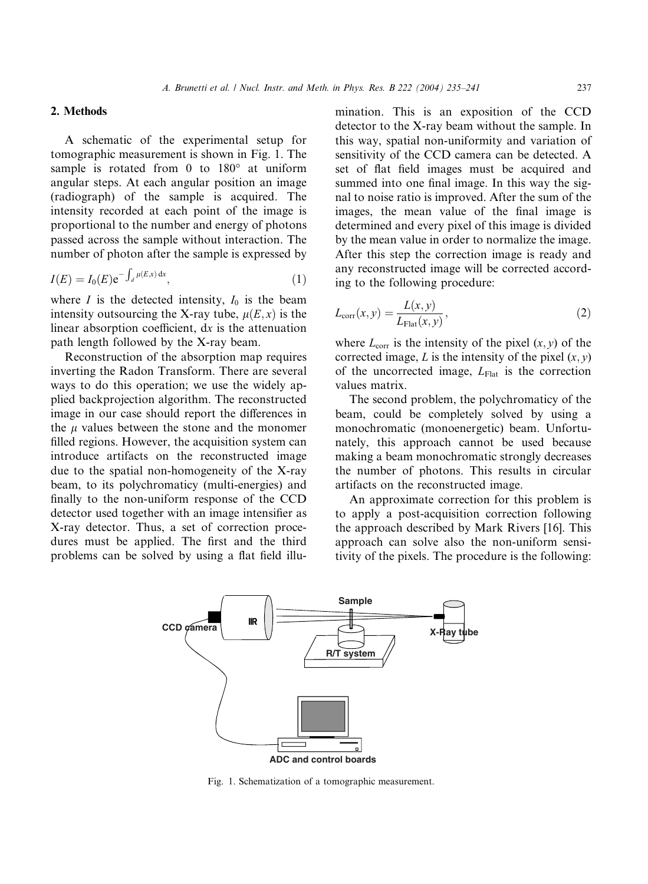## 2. Methods

A schematic of the experimental setup for tomographic measurement is shown in Fig. 1. The sample is rotated from  $0$  to  $180^{\circ}$  at uniform angular steps. At each angular position an image (radiograph) of the sample is acquired. The intensity recorded at each point of the image is proportional to the number and energy of photons passed across the sample without interaction. The number of photon after the sample is expressed by

$$
I(E) = I_0(E) e^{-\int_d \mu(E, x) dx}, \qquad (1)
$$

where  $I$  is the detected intensity,  $I_0$  is the beam intensity outsourcing the X-ray tube,  $\mu(E, x)$  is the linear absorption coefficient, dx is the attenuation path length followed by the X-ray beam.

Reconstruction of the absorption map requires inverting the Radon Transform. There are several ways to do this operation; we use the widely applied backprojection algorithm. The reconstructed image in our case should report the differences in the  $\mu$  values between the stone and the monomer filled regions. However, the acquisition system can introduce artifacts on the reconstructed image due to the spatial non-homogeneity of the X-ray beam, to its polychromaticy (multi-energies) and finally to the non-uniform response of the CCD detector used together with an image intensifier as X-ray detector. Thus, a set of correction procedures must be applied. The first and the third problems can be solved by using a flat field illumination. This is an exposition of the CCD detector to the X-ray beam without the sample. In this way, spatial non-uniformity and variation of sensitivity of the CCD camera can be detected. A set of flat field images must be acquired and summed into one final image. In this way the signal to noise ratio is improved. After the sum of the images, the mean value of the final image is determined and every pixel of this image is divided by the mean value in order to normalize the image. After this step the correction image is ready and any reconstructed image will be corrected according to the following procedure:

$$
L_{\text{corr}}(x, y) = \frac{L(x, y)}{L_{\text{Flat}}(x, y)},
$$
\n(2)

where  $L_{\text{corr}}$  is the intensity of the pixel  $(x, y)$  of the corrected image, L is the intensity of the pixel  $(x, y)$ of the uncorrected image,  $L_{Flat}$  is the correction values matrix.

The second problem, the polychromaticy of the beam, could be completely solved by using a monochromatic (monoenergetic) beam. Unfortunately, this approach cannot be used because making a beam monochromatic strongly decreases the number of photons. This results in circular artifacts on the reconstructed image.

An approximate correction for this problem is to apply a post-acquisition correction following the approach described by Mark Rivers [16]. This approach can solve also the non-uniform sensitivity of the pixels. The procedure is the following:



Fig. 1. Schematization of a tomographic measurement.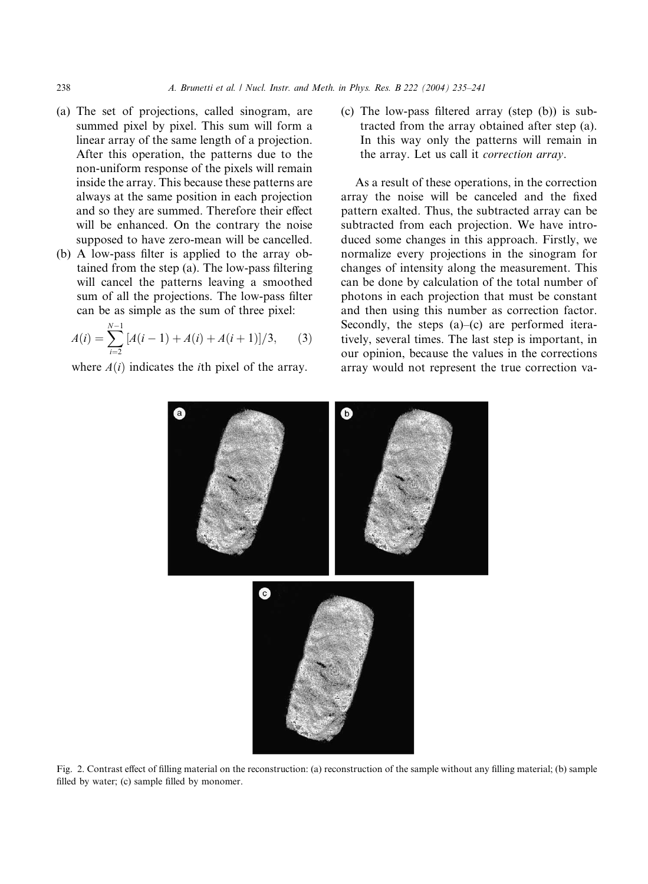- (a) The set of projections, called sinogram, are summed pixel by pixel. This sum will form a linear array of the same length of a projection. After this operation, the patterns due to the non-uniform response of the pixels will remain inside the array. This because these patterns are always at the same position in each projection and so they are summed. Therefore their effect will be enhanced. On the contrary the noise supposed to have zero-mean will be cancelled.
- (b) A low-pass filter is applied to the array obtained from the step (a). The low-pass filtering will cancel the patterns leaving a smoothed sum of all the projections. The low-pass filter can be as simple as the sum of three pixel:

$$
A(i) = \sum_{i=2}^{N-1} [A(i-1) + A(i) + A(i+1)]/3, \qquad (3)
$$

where  $A(i)$  indicates the *i*th pixel of the array.

(c) The low-pass filtered array (step (b)) is subtracted from the array obtained after step (a). In this way only the patterns will remain in the array. Let us call it correction array.

As a result of these operations, in the correction array the noise will be canceled and the fixed pattern exalted. Thus, the subtracted array can be subtracted from each projection. We have introduced some changes in this approach. Firstly, we normalize every projections in the sinogram for changes of intensity along the measurement. This can be done by calculation of the total number of photons in each projection that must be constant and then using this number as correction factor. Secondly, the steps (a)–(c) are performed iteratively, several times. The last step is important, in our opinion, because the values in the corrections array would not represent the true correction va-



Fig. 2. Contrast effect of filling material on the reconstruction: (a) reconstruction of the sample without any filling material; (b) sample filled by water; (c) sample filled by monomer.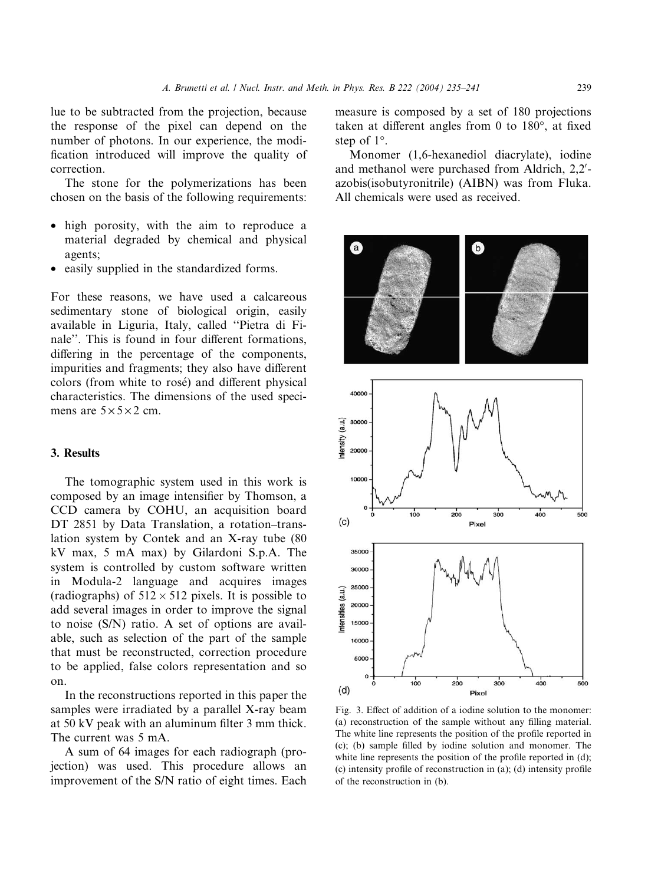lue to be subtracted from the projection, because the response of the pixel can depend on the number of photons. In our experience, the modification introduced will improve the quality of correction.

The stone for the polymerizations has been chosen on the basis of the following requirements:

- high porosity, with the aim to reproduce a material degraded by chemical and physical agents;
- easily supplied in the standardized forms.

For these reasons, we have used a calcareous sedimentary stone of biological origin, easily available in Liguria, Italy, called ''Pietra di Finale''. This is found in four different formations, differing in the percentage of the components, impurities and fragments; they also have different colors (from white to rose) and different physical characteristics. The dimensions of the used specimens are  $5 \times 5 \times 2$  cm.

# 3. Results

The tomographic system used in this work is composed by an image intensifier by Thomson, a CCD camera by COHU, an acquisition board DT 2851 by Data Translation, a rotation–translation system by Contek and an X-ray tube (80 kV max, 5 mA max) by Gilardoni S.p.A. The system is controlled by custom software written in Modula-2 language and acquires images (radiographs) of  $512 \times 512$  pixels. It is possible to add several images in order to improve the signal to noise (S/N) ratio. A set of options are available, such as selection of the part of the sample that must be reconstructed, correction procedure to be applied, false colors representation and so on.

In the reconstructions reported in this paper the samples were irradiated by a parallel X-ray beam at 50 kV peak with an aluminum filter 3 mm thick. The current was 5 mA.

A sum of 64 images for each radiograph (projection) was used. This procedure allows an improvement of the S/N ratio of eight times. Each measure is composed by a set of 180 projections taken at different angles from 0 to  $180^\circ$ , at fixed step of  $1^\circ$ .

Monomer (1,6-hexanediol diacrylate), iodine and methanol were purchased from Aldrich, 2,2'azobis(isobutyronitrile) (AIBN) was from Fluka. All chemicals were used as received.



Fig. 3. Effect of addition of a iodine solution to the monomer: (a) reconstruction of the sample without any filling material. The white line represents the position of the profile reported in (c); (b) sample filled by iodine solution and monomer. The white line represents the position of the profile reported in (d); (c) intensity profile of reconstruction in (a); (d) intensity profile of the reconstruction in (b).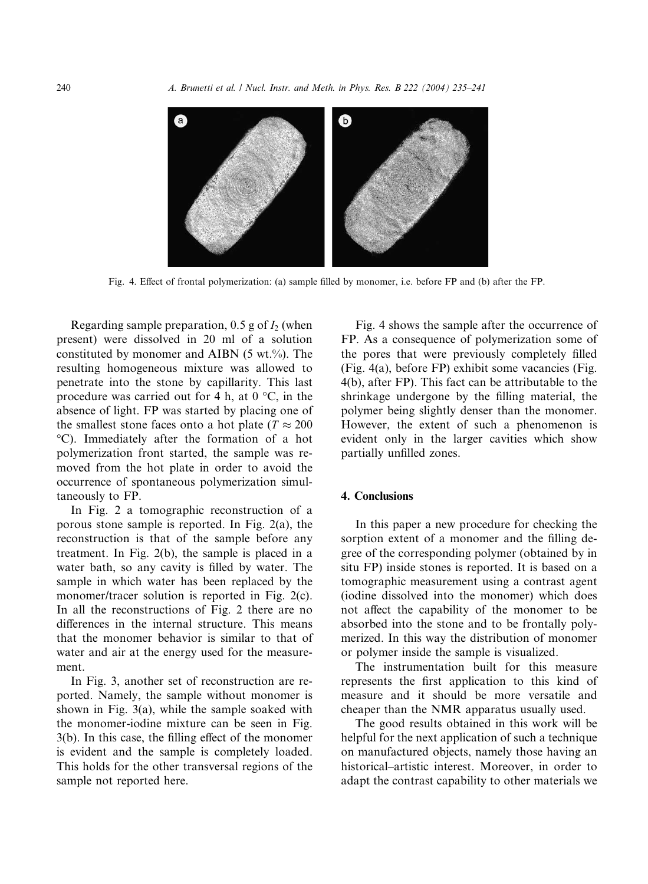

Fig. 4. Effect of frontal polymerization: (a) sample filled by monomer, i.e. before FP and (b) after the FP.

Regarding sample preparation,  $0.5$  g of  $I_2$  (when present) were dissolved in 20 ml of a solution constituted by monomer and AIBN (5 wt.%). The resulting homogeneous mixture was allowed to penetrate into the stone by capillarity. This last procedure was carried out for 4 h, at  $0^{\circ}$ C, in the absence of light. FP was started by placing one of the smallest stone faces onto a hot plate ( $T \approx 200$ ) -C). Immediately after the formation of a hot polymerization front started, the sample was removed from the hot plate in order to avoid the occurrence of spontaneous polymerization simultaneously to FP.

In Fig. 2 a tomographic reconstruction of a porous stone sample is reported. In Fig. 2(a), the reconstruction is that of the sample before any treatment. In Fig. 2(b), the sample is placed in a water bath, so any cavity is filled by water. The sample in which water has been replaced by the monomer/tracer solution is reported in Fig. 2(c). In all the reconstructions of Fig. 2 there are no differences in the internal structure. This means that the monomer behavior is similar to that of water and air at the energy used for the measurement.

In Fig. 3, another set of reconstruction are reported. Namely, the sample without monomer is shown in Fig. 3(a), while the sample soaked with the monomer-iodine mixture can be seen in Fig. 3(b). In this case, the filling effect of the monomer is evident and the sample is completely loaded. This holds for the other transversal regions of the sample not reported here.

Fig. 4 shows the sample after the occurrence of FP. As a consequence of polymerization some of the pores that were previously completely filled (Fig. 4(a), before FP) exhibit some vacancies (Fig. 4(b), after FP). This fact can be attributable to the shrinkage undergone by the filling material, the polymer being slightly denser than the monomer. However, the extent of such a phenomenon is evident only in the larger cavities which show partially unfilled zones.

# 4. Conclusions

In this paper a new procedure for checking the sorption extent of a monomer and the filling degree of the corresponding polymer (obtained by in situ FP) inside stones is reported. It is based on a tomographic measurement using a contrast agent (iodine dissolved into the monomer) which does not affect the capability of the monomer to be absorbed into the stone and to be frontally polymerized. In this way the distribution of monomer or polymer inside the sample is visualized.

The instrumentation built for this measure represents the first application to this kind of measure and it should be more versatile and cheaper than the NMR apparatus usually used.

The good results obtained in this work will be helpful for the next application of such a technique on manufactured objects, namely those having an historical–artistic interest. Moreover, in order to adapt the contrast capability to other materials we